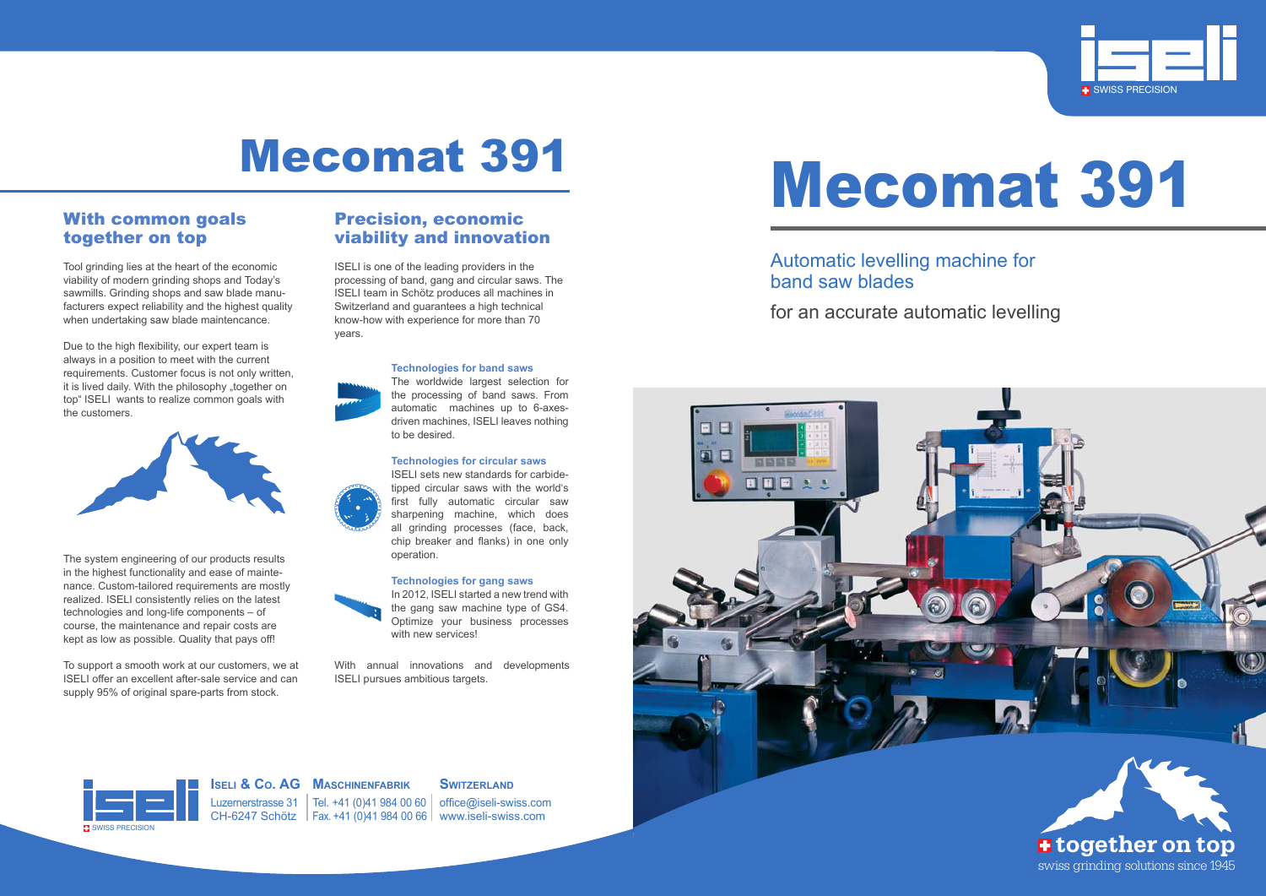# Mecomat 391



## Mecomat 391



**Iseli & Co. AG Maschinenfabrik**

### **SWITZERLAND**

Luzernerstrasse 31 | Tel. +41 (0)41 984 00 60 | office@iseli-swiss.com CH-6247 Schötz Fax. +41 (0)41 984 00 66 www.iseli-swiss.com



Automatic levelling machine for band saw blades for an accurate automatic levelling

### With common goals together on top

Tool grinding lies at the heart of the economic viability of modern grinding shops and Today's sawmills. Grinding shops and saw blade manufacturers expect reliability and the highest quality when undertaking saw blade maintencance.

Due to the high flexibility, our expert team is always in a position to meet with the current requirements. Customer focus is not only written, it is lived daily. With the philosophy "together on top" ISELI wants to realize common goals with the customers.



The system engineering of our products results in the highest functionality and ease of maintenance. Custom-tailored requirements are mostly realized. ISELI consistently relies on the latest technologies and long-life components – of course, the maintenance and repair costs are kept as low as possible. Quality that pays off!

In 2012, ISELI started a new trend with the gang saw machine type of GS4. Optimize your business processes with new services!

To support a smooth work at our customers, we at ISELI offer an excellent after-sale service and can supply 95% of original spare-parts from stock.

### Precision, economic viability and innovation

ISELI is one of the leading providers in the processing of band, gang and circular saws. The ISELI team in Schötz produces all machines in Switzerland and guarantees a high technical know-how with experience for more than 70 years.



**Technologies for band saws**

The worldwide largest selection for the processing of band saws. From automatic machines up to 6-axesdriven machines, ISELI leaves nothing to be desired.

### **Technologies for circular saws**

ISELI sets new standards for carbidetipped circular saws with the world's first fully automatic circular saw sharpening machine, which does all grinding processes (face, back, chip breaker and flanks) in one only operation.

### **Technologies for gang saws**



With annual innovations and developments ISELI pursues ambitious targets.